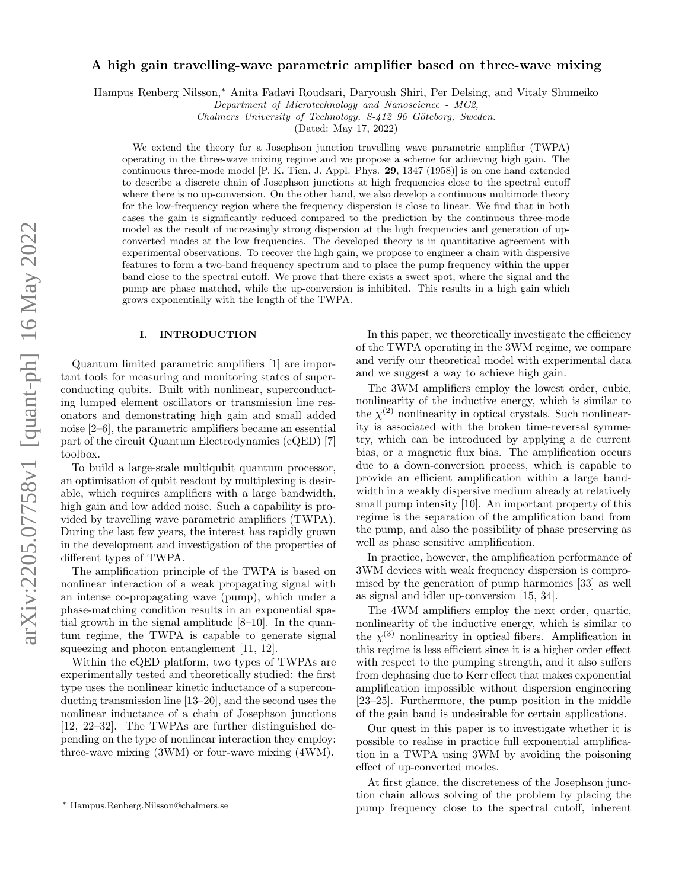# arXiv:2205.07758v1 [quant-ph] 16 May 2022 arXiv:2205.07758v1 [quant-ph] 16 May 2022

# A high gain travelling-wave parametric amplifier based on three-wave mixing

Hampus Renberg Nilsson,<sup>∗</sup> Anita Fadavi Roudsari, Daryoush Shiri, Per Delsing, and Vitaly Shumeiko

Department of Microtechnology and Nanoscience - MC2,

Chalmers University of Technology, S-412 96 Göteborg, Sweden.

(Dated: May 17, 2022)

We extend the theory for a Josephson junction travelling wave parametric amplifier (TWPA) operating in the three-wave mixing regime and we propose a scheme for achieving high gain. The continuous three-mode model [P. K. Tien, J. Appl. Phys. 29, 1347 (1958)] is on one hand extended to describe a discrete chain of Josephson junctions at high frequencies close to the spectral cutoff where there is no up-conversion. On the other hand, we also develop a continuous multimode theory for the low-frequency region where the frequency dispersion is close to linear. We find that in both cases the gain is significantly reduced compared to the prediction by the continuous three-mode model as the result of increasingly strong dispersion at the high frequencies and generation of upconverted modes at the low frequencies. The developed theory is in quantitative agreement with experimental observations. To recover the high gain, we propose to engineer a chain with dispersive features to form a two-band frequency spectrum and to place the pump frequency within the upper band close to the spectral cutoff. We prove that there exists a sweet spot, where the signal and the pump are phase matched, while the up-conversion is inhibited. This results in a high gain which grows exponentially with the length of the TWPA.

# I. INTRODUCTION

Quantum limited parametric amplifiers [1] are important tools for measuring and monitoring states of superconducting qubits. Built with nonlinear, superconducting lumped element oscillators or transmission line resonators and demonstrating high gain and small added noise [2–6], the parametric amplifiers became an essential part of the circuit Quantum Electrodynamics (cQED) [7] toolbox.

To build a large-scale multiqubit quantum processor, an optimisation of qubit readout by multiplexing is desirable, which requires amplifiers with a large bandwidth, high gain and low added noise. Such a capability is provided by travelling wave parametric amplifiers (TWPA). During the last few years, the interest has rapidly grown in the development and investigation of the properties of different types of TWPA.

The amplification principle of the TWPA is based on nonlinear interaction of a weak propagating signal with an intense co-propagating wave (pump), which under a phase-matching condition results in an exponential spatial growth in the signal amplitude [8–10]. In the quantum regime, the TWPA is capable to generate signal squeezing and photon entanglement [11, 12].

Within the cQED platform, two types of TWPAs are experimentally tested and theoretically studied: the first type uses the nonlinear kinetic inductance of a superconducting transmission line [13–20], and the second uses the nonlinear inductance of a chain of Josephson junctions [12, 22–32]. The TWPAs are further distinguished depending on the type of nonlinear interaction they employ: three-wave mixing (3WM) or four-wave mixing (4WM).

In this paper, we theoretically investigate the efficiency of the TWPA operating in the 3WM regime, we compare and verify our theoretical model with experimental data and we suggest a way to achieve high gain.

The 3WM amplifiers employ the lowest order, cubic, nonlinearity of the inductive energy, which is similar to the  $\chi^{(2)}$  nonlinearity in optical crystals. Such nonlinearity is associated with the broken time-reversal symmetry, which can be introduced by applying a dc current bias, or a magnetic flux bias. The amplification occurs due to a down-conversion process, which is capable to provide an efficient amplification within a large bandwidth in a weakly dispersive medium already at relatively small pump intensity [10]. An important property of this regime is the separation of the amplification band from the pump, and also the possibility of phase preserving as well as phase sensitive amplification.

In practice, however, the amplification performance of 3WM devices with weak frequency dispersion is compromised by the generation of pump harmonics [33] as well as signal and idler up-conversion [15, 34].

The 4WM amplifiers employ the next order, quartic, nonlinearity of the inductive energy, which is similar to the  $\chi^{(3)}$  nonlinearity in optical fibers. Amplification in this regime is less efficient since it is a higher order effect with respect to the pumping strength, and it also suffers from dephasing due to Kerr effect that makes exponential amplification impossible without dispersion engineering [23–25]. Furthermore, the pump position in the middle of the gain band is undesirable for certain applications.

Our quest in this paper is to investigate whether it is possible to realise in practice full exponential amplification in a TWPA using 3WM by avoiding the poisoning effect of up-converted modes.

At first glance, the discreteness of the Josephson junction chain allows solving of the problem by placing the pump frequency close to the spectral cutoff, inherent

<sup>∗</sup> Hampus.Renberg.Nilsson@chalmers.se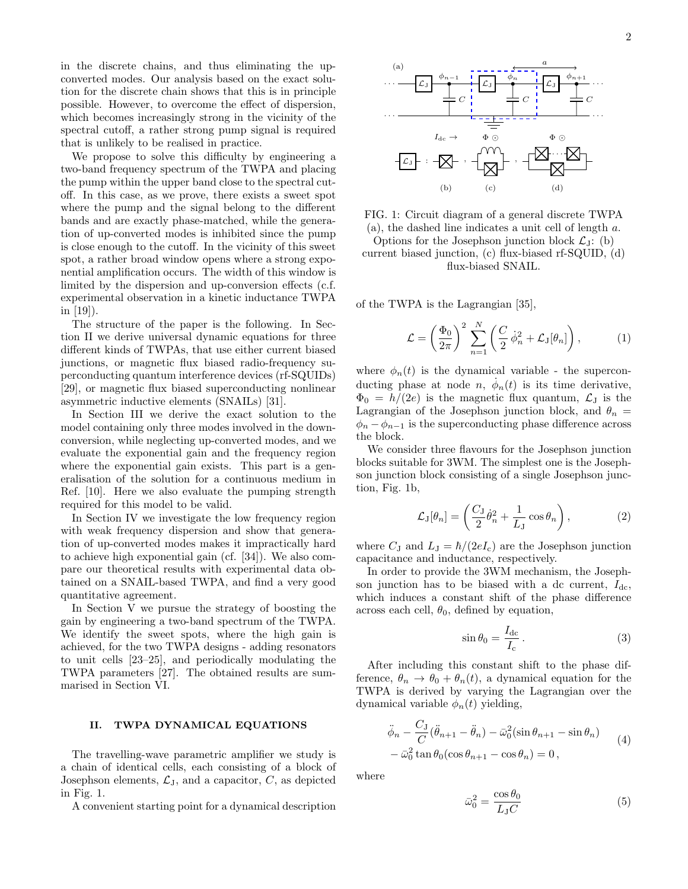2

in the discrete chains, and thus eliminating the upconverted modes. Our analysis based on the exact solution for the discrete chain shows that this is in principle possible. However, to overcome the effect of dispersion, which becomes increasingly strong in the vicinity of the spectral cutoff, a rather strong pump signal is required that is unlikely to be realised in practice.

We propose to solve this difficulty by engineering a two-band frequency spectrum of the TWPA and placing the pump within the upper band close to the spectral cutoff. In this case, as we prove, there exists a sweet spot where the pump and the signal belong to the different bands and are exactly phase-matched, while the generation of up-converted modes is inhibited since the pump is close enough to the cutoff. In the vicinity of this sweet spot, a rather broad window opens where a strong exponential amplification occurs. The width of this window is limited by the dispersion and up-conversion effects (c.f. experimental observation in a kinetic inductance TWPA in [19]).

The structure of the paper is the following. In Section II we derive universal dynamic equations for three different kinds of TWPAs, that use either current biased junctions, or magnetic flux biased radio-frequency superconducting quantum interference devices (rf-SQUIDs) [29], or magnetic flux biased superconducting nonlinear asymmetric inductive elements (SNAILs) [31].

In Section III we derive the exact solution to the model containing only three modes involved in the downconversion, while neglecting up-converted modes, and we evaluate the exponential gain and the frequency region where the exponential gain exists. This part is a generalisation of the solution for a continuous medium in Ref. [10]. Here we also evaluate the pumping strength required for this model to be valid.

In Section IV we investigate the low frequency region with weak frequency dispersion and show that generation of up-converted modes makes it impractically hard to achieve high exponential gain (cf. [34]). We also compare our theoretical results with experimental data obtained on a SNAIL-based TWPA, and find a very good quantitative agreement.

In Section V we pursue the strategy of boosting the gain by engineering a two-band spectrum of the TWPA. We identify the sweet spots, where the high gain is achieved, for the two TWPA designs - adding resonators to unit cells [23–25], and periodically modulating the TWPA parameters [27]. The obtained results are summarised in Section VI.

# II. TWPA DYNAMICAL EQUATIONS

The travelling-wave parametric amplifier we study is a chain of identical cells, each consisting of a block of Josephson elements,  $\mathcal{L}_{J}$ , and a capacitor,  $C$ , as depicted in Fig. 1.

A convenient starting point for a dynamical description



FIG. 1: Circuit diagram of a general discrete TWPA (a), the dashed line indicates a unit cell of length a. Options for the Josephson junction block  $\mathcal{L}_J$ : (b)

current biased junction, (c) flux-biased rf-SQUID, (d) flux-biased SNAIL.

of the TWPA is the Lagrangian [35],

$$
\mathcal{L} = \left(\frac{\Phi_0}{2\pi}\right)^2 \sum_{n=1}^N \left(\frac{C}{2} \dot{\phi}_n^2 + \mathcal{L}_\mathrm{J}[\theta_n]\right),\tag{1}
$$

where  $\phi_n(t)$  is the dynamical variable - the superconducting phase at node n,  $\dot{\phi}_n(t)$  is its time derivative,  $\Phi_0 = h/(2e)$  is the magnetic flux quantum,  $\mathcal{L}_J$  is the Lagrangian of the Josephson junction block, and  $\theta_n =$  $\phi_n - \phi_{n-1}$  is the superconducting phase difference across the block.

We consider three flavours for the Josephson junction blocks suitable for 3WM. The simplest one is the Josephson junction block consisting of a single Josephson junction, Fig. 1b,

$$
\mathcal{L}_{\mathcal{J}}[\theta_n] = \left(\frac{C_{\mathcal{J}}}{2}\dot{\theta}_n^2 + \frac{1}{L_{\mathcal{J}}} \cos \theta_n\right),\tag{2}
$$

where  $C_J$  and  $L_J = \hbar/(2eI_c)$  are the Josephson junction capacitance and inductance, respectively.

In order to provide the 3WM mechanism, the Josephson junction has to be biased with a dc current,  $I_{dc}$ , which induces a constant shift of the phase difference across each cell,  $\theta_0$ , defined by equation,

$$
\sin \theta_0 = \frac{I_{\rm dc}}{I_{\rm c}}.\tag{3}
$$

After including this constant shift to the phase difference,  $\theta_n \to \theta_0 + \theta_n(t)$ , a dynamical equation for the TWPA is derived by varying the Lagrangian over the dynamical variable  $\phi_n(t)$  yielding,

$$
\ddot{\phi}_n - \frac{C_J}{C} (\ddot{\theta}_{n+1} - \ddot{\theta}_n) - \bar{\omega}_0^2 (\sin \theta_{n+1} - \sin \theta_n) \n- \bar{\omega}_0^2 \tan \theta_0 (\cos \theta_{n+1} - \cos \theta_n) = 0,
$$
\n(4)

where

$$
\bar{\omega}_0^2 = \frac{\cos \theta_0}{L_J C} \tag{5}
$$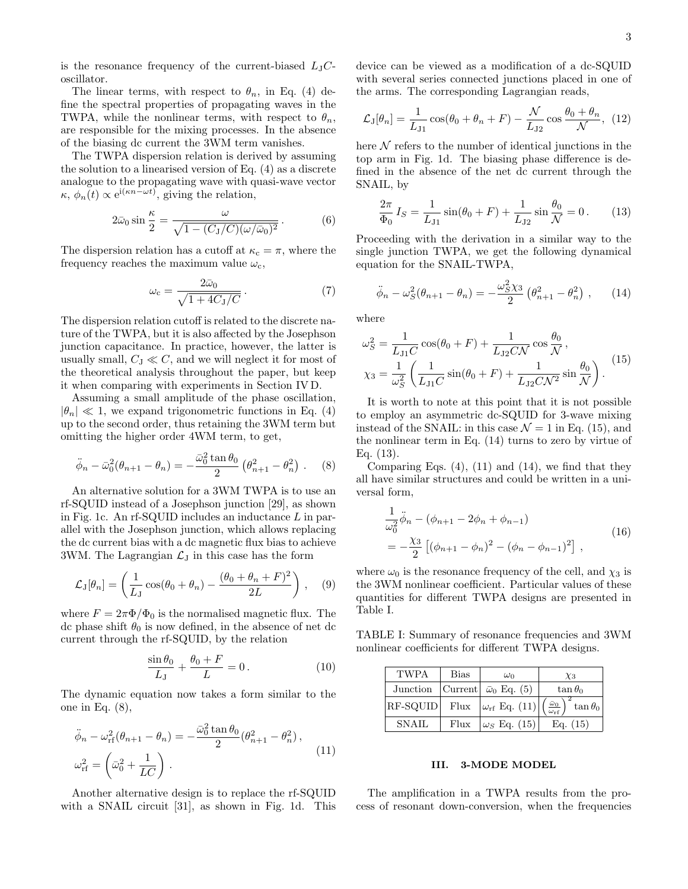is the resonance frequency of the current-biased  $L_{J}C$ oscillator.

The linear terms, with respect to  $\theta_n$ , in Eq. (4) define the spectral properties of propagating waves in the TWPA, while the nonlinear terms, with respect to  $\theta_n$ , are responsible for the mixing processes. In the absence of the biasing dc current the 3WM term vanishes.

The TWPA dispersion relation is derived by assuming the solution to a linearised version of Eq. (4) as a discrete analogue to the propagating wave with quasi-wave vector  $\kappa, \phi_n(t) \propto e^{i(\kappa n - \omega t)}$ , giving the relation,

$$
2\bar{\omega}_0 \sin\frac{\kappa}{2} = \frac{\omega}{\sqrt{1 - (C_J/C)(\omega/\bar{\omega}_0)^2}}.
$$
 (6)

The dispersion relation has a cutoff at  $\kappa_c = \pi$ , where the frequency reaches the maximum value  $\omega_c$ ,

$$
\omega_{\rm c} = \frac{2\bar{\omega}_0}{\sqrt{1 + 4C_J/C}}\,. \tag{7}
$$

The dispersion relation cutoff is related to the discrete nature of the TWPA, but it is also affected by the Josephson junction capacitance. In practice, however, the latter is usually small,  $C_J \ll C$ , and we will neglect it for most of the theoretical analysis throughout the paper, but keep it when comparing with experiments in Section IV D.

Assuming a small amplitude of the phase oscillation,  $|\theta_n| \ll 1$ , we expand trigonometric functions in Eq. (4) up to the second order, thus retaining the 3WM term but omitting the higher order 4WM term, to get,

$$
\ddot{\phi}_n - \bar{\omega}_0^2 (\theta_{n+1} - \theta_n) = -\frac{\bar{\omega}_0^2 \tan \theta_0}{2} (\theta_{n+1}^2 - \theta_n^2) . \quad (8)
$$

An alternative solution for a 3WM TWPA is to use an rf-SQUID instead of a Josephson junction [29], as shown in Fig. 1c. An rf-SQUID includes an inductance  $L$  in parallel with the Josephson junction, which allows replacing the dc current bias with a dc magnetic flux bias to achieve 3WM. The Lagrangian  $\mathcal{L}_{J}$  in this case has the form

$$
\mathcal{L}_{\mathrm{J}}[\theta_n] = \left(\frac{1}{L_{\mathrm{J}}} \cos(\theta_0 + \theta_n) - \frac{(\theta_0 + \theta_n + F)^2}{2L}\right), \quad (9)
$$

where  $F = 2\pi \Phi / \Phi_0$  is the normalised magnetic flux. The dc phase shift  $\theta_0$  is now defined, in the absence of net dc current through the rf-SQUID, by the relation

$$
\frac{\sin \theta_0}{L_J} + \frac{\theta_0 + F}{L} = 0.
$$
\n(10)

The dynamic equation now takes a form similar to the one in Eq. (8),

$$
\ddot{\phi}_n - \omega_{\rm rf}^2(\theta_{n+1} - \theta_n) = -\frac{\bar{\omega}_0^2 \tan \theta_0}{2} (\theta_{n+1}^2 - \theta_n^2),
$$
  

$$
\omega_{\rm rf}^2 = \left(\bar{\omega}_0^2 + \frac{1}{LC}\right).
$$
 (11)

Another alternative design is to replace the rf-SQUID with a SNAIL circuit [31], as shown in Fig. 1d. This device can be viewed as a modification of a dc-SQUID with several series connected junctions placed in one of the arms. The corresponding Lagrangian reads,

$$
\mathcal{L}_{\mathrm{J}}[\theta_n] = \frac{1}{L_{\mathrm{J1}}} \cos(\theta_0 + \theta_n + F) - \frac{\mathcal{N}}{L_{\mathrm{J2}}} \cos\frac{\theta_0 + \theta_n}{\mathcal{N}}, \tag{12}
$$

here  $N$  refers to the number of identical junctions in the top arm in Fig. 1d. The biasing phase difference is defined in the absence of the net dc current through the SNAIL, by

$$
\frac{2\pi}{\Phi_0} I_S = \frac{1}{L_{J1}} \sin(\theta_0 + F) + \frac{1}{L_{J2}} \sin\frac{\theta_0}{\mathcal{N}} = 0. \quad (13)
$$

Proceeding with the derivation in a similar way to the single junction TWPA, we get the following dynamical equation for the SNAIL-TWPA,

$$
\ddot{\phi}_n - \omega_S^2 (\theta_{n+1} - \theta_n) = -\frac{\omega_S^2 \chi_3}{2} (\theta_{n+1}^2 - \theta_n^2) , \qquad (14)
$$

where

$$
\omega_S^2 = \frac{1}{L_{J1}C} \cos(\theta_0 + F) + \frac{1}{L_{J2}C\mathcal{N}} \cos\frac{\theta_0}{\mathcal{N}},
$$
  

$$
\chi_3 = \frac{1}{\omega_S^2} \left( \frac{1}{L_{J1}C} \sin(\theta_0 + F) + \frac{1}{L_{J2}C\mathcal{N}^2} \sin\frac{\theta_0}{\mathcal{N}} \right).
$$
 (15)

It is worth to note at this point that it is not possible to employ an asymmetric dc-SQUID for 3-wave mixing instead of the SNAIL: in this case  $\mathcal{N} = 1$  in Eq. (15), and the nonlinear term in Eq. (14) turns to zero by virtue of Eq. (13).

Comparing Eqs.  $(4)$ ,  $(11)$  and  $(14)$ , we find that they all have similar structures and could be written in a universal form,

$$
\frac{1}{\omega_0^2} \ddot{\phi}_n - (\phi_{n+1} - 2\phi_n + \phi_{n-1})
$$
\n
$$
= -\frac{\chi_3}{2} \left[ (\phi_{n+1} - \phi_n)^2 - (\phi_n - \phi_{n-1})^2 \right],
$$
\n(16)

where  $\omega_0$  is the resonance frequency of the cell, and  $\chi_3$  is the 3WM nonlinear coefficient. Particular values of these quantities for different TWPA designs are presented in Table I.

TABLE I: Summary of resonance frequencies and 3WM nonlinear coefficients for different TWPA designs.

| <b>TWPA</b>  | <b>Bias</b> | $\omega_0$                                    | $\chi_3$                                                              |
|--------------|-------------|-----------------------------------------------|-----------------------------------------------------------------------|
|              |             | Junction   Current   $\bar{\omega}_0$ Eq. (5) | $\tan \theta_0$                                                       |
| RF-SQUID     | Flux        | $ \omega_{\rm rf}$ Eq. (11)                   | $\left(\frac{\bar{\omega}_0}{\omega_{\rm rf}}\right)^2 \tan \theta_0$ |
| <b>SNAIL</b> | Flux        | $ \omega_S$ Eq. (15)                          | Eq. $(15)$                                                            |

# III. 3-MODE MODEL

The amplification in a TWPA results from the process of resonant down-conversion, when the frequencies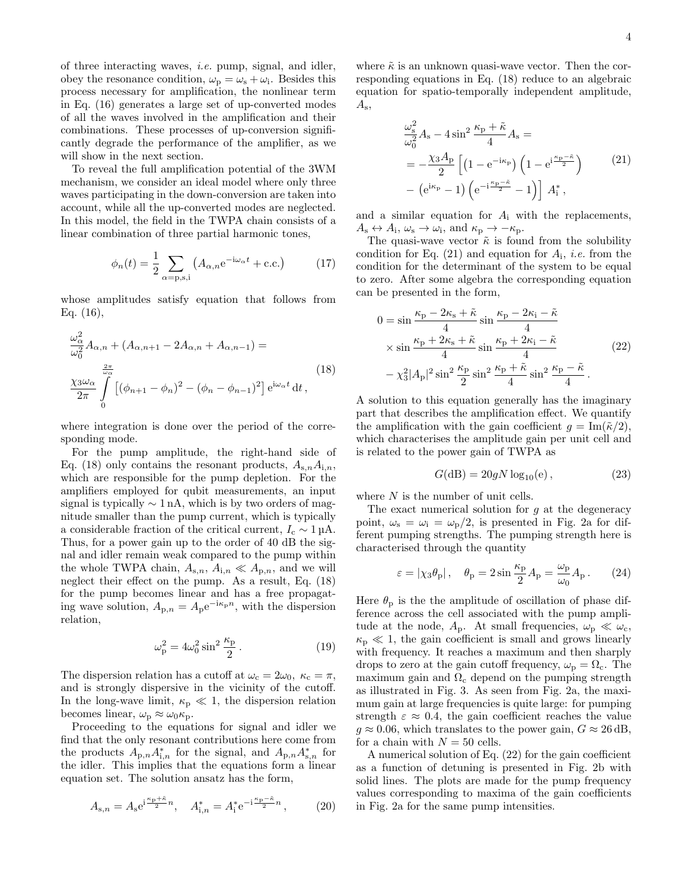of three interacting waves, i.e. pump, signal, and idler, obey the resonance condition,  $\omega_{\rm p} = \omega_{\rm s} + \omega_{\rm i}$ . Besides this process necessary for amplification, the nonlinear term in Eq. (16) generates a large set of up-converted modes of all the waves involved in the amplification and their combinations. These processes of up-conversion significantly degrade the performance of the amplifier, as we will show in the next section.

To reveal the full amplification potential of the 3WM mechanism, we consider an ideal model where only three waves participating in the down-conversion are taken into account, while all the up-converted modes are neglected. In this model, the field in the TWPA chain consists of a linear combination of three partial harmonic tones,

$$
\phi_n(t) = \frac{1}{2} \sum_{\alpha = \text{p}, \text{s}, \text{i}} \left( A_{\alpha, n} e^{-i\omega_\alpha t} + \text{c.c.} \right) \tag{17}
$$

whose amplitudes satisfy equation that follows from Eq. (16),

 $\overline{2}$ 

$$
\frac{\omega_{\alpha}^{2}}{\omega_{0}^{2}}A_{\alpha,n} + (A_{\alpha,n+1} - 2A_{\alpha,n} + A_{\alpha,n-1}) =
$$
\n
$$
\frac{\chi_{3}\omega_{\alpha}}{2\pi} \int_{0}^{\frac{2\pi}{\omega_{\alpha}}} [(\phi_{n+1} - \phi_{n})^{2} - (\phi_{n} - \phi_{n-1})^{2}] e^{i\omega_{\alpha}t} dt,
$$
\n(18)

where integration is done over the period of the corresponding mode.

For the pump amplitude, the right-hand side of Eq. (18) only contains the resonant products,  $A_{s,n}A_{i,n}$ , which are responsible for the pump depletion. For the amplifiers employed for qubit measurements, an input signal is typically  $\sim 1 \text{ nA}$ , which is by two orders of magnitude smaller than the pump current, which is typically a considerable fraction of the critical current,  $I_c \sim 1 \mu A$ . Thus, for a power gain up to the order of 40 dB the signal and idler remain weak compared to the pump within the whole TWPA chain,  $A_{s,n}$ ,  $A_{i,n} \ll A_{p,n}$ , and we will neglect their effect on the pump. As a result, Eq. (18) for the pump becomes linear and has a free propagating wave solution,  $A_{p,n} = A_p e^{-i\kappa_p n}$ , with the dispersion relation,

$$
\omega_{\rm p}^2 = 4\omega_0^2 \sin^2 \frac{\kappa_{\rm p}}{2} \,. \tag{19}
$$

The dispersion relation has a cutoff at  $\omega_c = 2\omega_0$ ,  $\kappa_c = \pi$ , and is strongly dispersive in the vicinity of the cutoff. In the long-wave limit,  $\kappa_{\rm p} \ll 1$ , the dispersion relation becomes linear,  $\omega_{\rm p} \approx \omega_0 \kappa_{\rm p}.$ 

Proceeding to the equations for signal and idler we find that the only resonant contributions here come from the products  $A_{p,n} A_{i,n}^*$  for the signal, and  $A_{p,n} A_{s,n}^*$  for the idler. This implies that the equations form a linear equation set. The solution ansatz has the form,

$$
A_{s,n} = A_s e^{i\frac{\kappa_p + \tilde{\kappa}_n}{2}n}, \quad A_{i,n}^* = A_i^* e^{-i\frac{\kappa_p - \tilde{\kappa}_n}{2}n}, \quad (20)
$$

where  $\tilde{\kappa}$  is an unknown quasi-wave vector. Then the corresponding equations in Eq. (18) reduce to an algebraic equation for spatio-temporally independent amplitude,  $A_{\rm s}$ ,

$$
\frac{\omega_{\rm s}^2}{\omega_0^2} A_{\rm s} - 4 \sin^2 \frac{\kappa_{\rm p} + \tilde{\kappa}}{4} A_{\rm s} =
$$
\n
$$
= -\frac{\chi_3 A_{\rm p}}{2} \left[ \left( 1 - e^{-i\kappa_{\rm p}} \right) \left( 1 - e^{i\frac{\kappa_{\rm p} - \tilde{\kappa}}{2}} \right) - \left( e^{i\kappa_{\rm p}} - 1 \right) \left( e^{-i\frac{\kappa_{\rm p} - \tilde{\kappa}}{2}} - 1 \right) \right] A_{\rm i}^*,
$$
\n(21)

and a similar equation for  $A_i$  with the replacements,  $A_{\rm s} \leftrightarrow A_{\rm i}, \omega_{\rm s} \to \omega_{\rm i}, \text{ and } \kappa_{\rm p} \to -\kappa_{\rm p}.$ 

The quasi-wave vector  $\tilde{\kappa}$  is found from the solubility condition for Eq.  $(21)$  and equation for  $A_i$ , *i.e.* from the condition for the determinant of the system to be equal to zero. After some algebra the corresponding equation can be presented in the form,

$$
0 = \sin \frac{\kappa_{\rm p} - 2\kappa_{\rm s} + \tilde{\kappa}}{4} \sin \frac{\kappa_{\rm p} - 2\kappa_{\rm i} - \tilde{\kappa}}{4}
$$
  
 
$$
\times \sin \frac{\kappa_{\rm p} + 2\kappa_{\rm s} + \tilde{\kappa}}{4} \sin \frac{\kappa_{\rm p} + 2\kappa_{\rm i} - \tilde{\kappa}}{4}
$$
  
 
$$
- \chi_3^2 |A_{\rm p}|^2 \sin^2 \frac{\kappa_{\rm p}}{2} \sin^2 \frac{\kappa_{\rm p} + \tilde{\kappa}}{4} \sin^2 \frac{\kappa_{\rm p} - \tilde{\kappa}}{4}.
$$
 (22)

A solution to this equation generally has the imaginary part that describes the amplification effect. We quantify the amplification with the gain coefficient  $g = \text{Im}(\tilde{\kappa}/2)$ , which characterises the amplitude gain per unit cell and is related to the power gain of TWPA as

$$
G(dB) = 20gN \log_{10}(e) , \qquad (23)
$$

where  $N$  is the number of unit cells.

The exact numerical solution for  $q$  at the degeneracy point,  $\omega_s = \omega_i = \omega_p/2$ , is presented in Fig. 2a for different pumping strengths. The pumping strength here is characterised through the quantity

$$
\varepsilon = |\chi_3 \theta_{\rm p}| \,, \quad \theta_{\rm p} = 2 \sin \frac{\kappa_{\rm p}}{2} A_{\rm p} = \frac{\omega_{\rm p}}{\omega_0} A_{\rm p} \,. \tag{24}
$$

Here  $\theta_{\rm p}$  is the the amplitude of oscillation of phase difference across the cell associated with the pump amplitude at the node,  $A_p$ . At small frequencies,  $\omega_p \ll \omega_c$ ,  $\kappa_{\rm p} \ll 1$ , the gain coefficient is small and grows linearly with frequency. It reaches a maximum and then sharply drops to zero at the gain cutoff frequency,  $\omega_{\rm p} = \Omega_{\rm c}$ . The maximum gain and  $\Omega_c$  depend on the pumping strength as illustrated in Fig. 3. As seen from Fig. 2a, the maximum gain at large frequencies is quite large: for pumping strength  $\varepsilon \approx 0.4$ , the gain coefficient reaches the value  $g \approx 0.06$ , which translates to the power gain,  $G \approx 26$  dB, for a chain with  $N = 50$  cells.

A numerical solution of Eq. (22) for the gain coefficient as a function of detuning is presented in Fig. 2b with solid lines. The plots are made for the pump frequency values corresponding to maxima of the gain coefficients in Fig. 2a for the same pump intensities.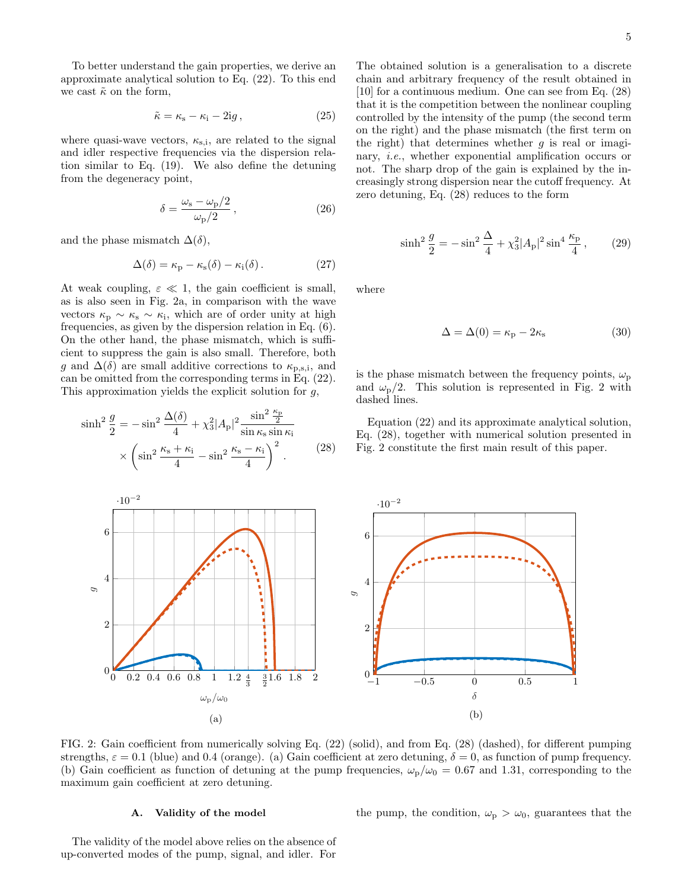To better understand the gain properties, we derive an approximate analytical solution to Eq. (22). To this end we cast  $\tilde{\kappa}$  on the form,

$$
\tilde{\kappa} = \kappa_{\rm s} - \kappa_{\rm i} - 2ig \,, \tag{25}
$$

where quasi-wave vectors,  $\kappa_{s,i}$ , are related to the signal and idler respective frequencies via the dispersion relation similar to Eq. (19). We also define the detuning from the degeneracy point,

$$
\delta = \frac{\omega_{\rm s} - \omega_{\rm p}/2}{\omega_{\rm p}/2},\tag{26}
$$

and the phase mismatch  $\Delta(\delta)$ ,

$$
\Delta(\delta) = \kappa_{\rm p} - \kappa_{\rm s}(\delta) - \kappa_{\rm i}(\delta). \tag{27}
$$

At weak coupling,  $\varepsilon \ll 1$ , the gain coefficient is small, as is also seen in Fig. 2a, in comparison with the wave vectors  $\kappa_{\rm p} \sim \kappa_{\rm s} \sim \kappa_{\rm i}$ , which are of order unity at high frequencies, as given by the dispersion relation in Eq. (6). On the other hand, the phase mismatch, which is sufficient to suppress the gain is also small. Therefore, both g and  $\Delta(\delta)$  are small additive corrections to  $\kappa_{\rm p,s,i}$ , and can be omitted from the corresponding terms in Eq. (22). This approximation yields the explicit solution for  $g$ ,

$$
\sinh^2 \frac{g}{2} = -\sin^2 \frac{\Delta(\delta)}{4} + \chi_3^2 |A_p|^2 \frac{\sin^2 \frac{\kappa_p}{2}}{\sin \kappa_s \sin \kappa_i}
$$

$$
\times \left( \sin^2 \frac{\kappa_s + \kappa_i}{4} - \sin^2 \frac{\kappa_s - \kappa_i}{4} \right)^2.
$$
 (28)

The obtained solution is a generalisation to a discrete chain and arbitrary frequency of the result obtained in [10] for a continuous medium. One can see from Eq. (28) that it is the competition between the nonlinear coupling controlled by the intensity of the pump (the second term on the right) and the phase mismatch (the first term on the right) that determines whether  $q$  is real or imaginary, i.e., whether exponential amplification occurs or not. The sharp drop of the gain is explained by the increasingly strong dispersion near the cutoff frequency. At zero detuning, Eq. (28) reduces to the form

$$
\sinh^2 \frac{g}{2} = -\sin^2 \frac{\Delta}{4} + \chi_3^2 |A_p|^2 \sin^4 \frac{\kappa_p}{4},\qquad(29)
$$

where

$$
\Delta = \Delta(0) = \kappa_{\rm p} - 2\kappa_{\rm s} \tag{30}
$$

is the phase mismatch between the frequency points,  $\omega_{\rm p}$ and  $\omega_{\rm p}/2$ . This solution is represented in Fig. 2 with dashed lines.

Equation (22) and its approximate analytical solution, Eq. (28), together with numerical solution presented in Fig. 2 constitute the first main result of this paper.



FIG. 2: Gain coefficient from numerically solving Eq. (22) (solid), and from Eq. (28) (dashed), for different pumping strengths,  $\varepsilon = 0.1$  (blue) and 0.4 (orange). (a) Gain coefficient at zero detuning,  $\delta = 0$ , as function of pump frequency. (b) Gain coefficient as function of detuning at the pump frequencies,  $\omega_p/\omega_0 = 0.67$  and 1.31, corresponding to the maximum gain coefficient at zero detuning.

# A. Validity of the model

the pump, the condition,  $\omega_{\rm p} > \omega_0$ , guarantees that the

The validity of the model above relies on the absence of up-converted modes of the pump, signal, and idler. For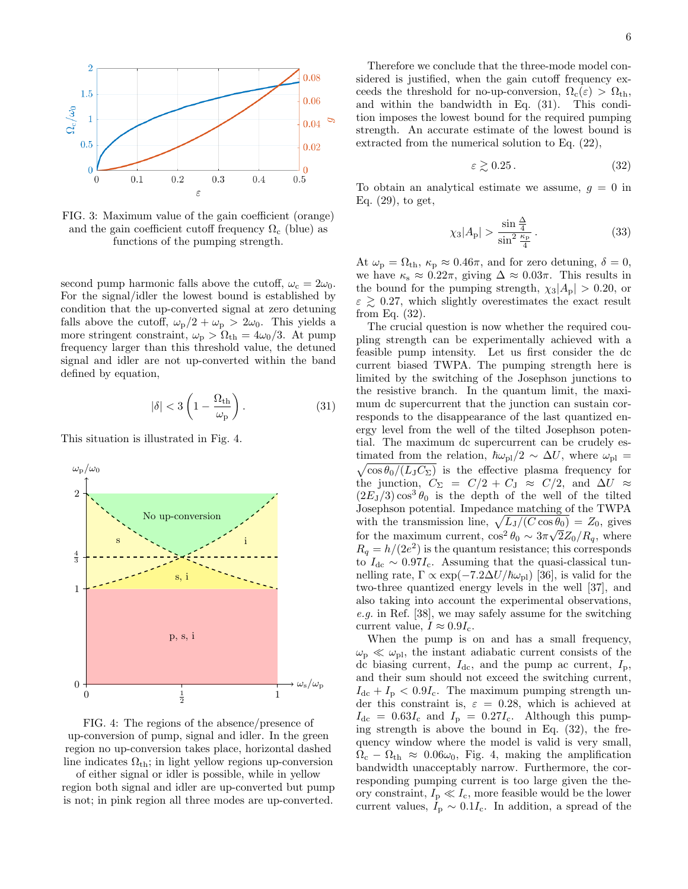

FIG. 3: Maximum value of the gain coefficient (orange) and the gain coefficient cutoff frequency  $\Omega_c$  (blue) as functions of the pumping strength.

second pump harmonic falls above the cutoff,  $\omega_c = 2\omega_0$ . For the signal/idler the lowest bound is established by condition that the up-converted signal at zero detuning falls above the cutoff,  $\omega_{\rm p}/2 + \omega_{\rm p} > 2\omega_0$ . This yields a more stringent constraint,  $\omega_{\rm p} > \Omega_{\rm th} = 4\omega_0/3$ . At pump frequency larger than this threshold value, the detuned signal and idler are not up-converted within the band defined by equation,

$$
|\delta| < 3\left(1 - \frac{\Omega_{\text{th}}}{\omega_{\text{p}}}\right). \tag{31}
$$

This situation is illustrated in Fig. 4.



FIG. 4: The regions of the absence/presence of up-conversion of pump, signal and idler. In the green region no up-conversion takes place, horizontal dashed line indicates  $\Omega_{\rm th}$ ; in light yellow regions up-conversion

of either signal or idler is possible, while in yellow region both signal and idler are up-converted but pump is not; in pink region all three modes are up-converted.

Therefore we conclude that the three-mode model considered is justified, when the gain cutoff frequency exceeds the threshold for no-up-conversion,  $\Omega_c(\varepsilon) > \Omega_{th}$ , and within the bandwidth in Eq. (31). This condition imposes the lowest bound for the required pumping strength. An accurate estimate of the lowest bound is extracted from the numerical solution to Eq. (22),

$$
\varepsilon \gtrsim 0.25\,. \tag{32}
$$

To obtain an analytical estimate we assume,  $q = 0$  in Eq. (29), to get,

$$
\chi_3|A_{\rm p}| > \frac{\sin\frac{\Delta}{4}}{\sin^2\frac{\kappa_{\rm p}}{4}}\,. \tag{33}
$$

At  $\omega_{\rm p} = \Omega_{\rm th}$ ,  $\kappa_{\rm p} \approx 0.46\pi$ , and for zero detuning,  $\delta = 0$ , we have  $\kappa_s \approx 0.22\pi$ , giving  $\Delta \approx 0.03\pi$ . This results in the bound for the pumping strength,  $\chi_3|A_p| > 0.20$ , or  $\varepsilon \geq 0.27$ , which slightly overestimates the exact result from Eq. (32).

The crucial question is now whether the required coupling strength can be experimentally achieved with a feasible pump intensity. Let us first consider the dc current biased TWPA. The pumping strength here is limited by the switching of the Josephson junctions to the resistive branch. In the quantum limit, the maximum dc supercurrent that the junction can sustain corresponds to the disappearance of the last quantized energy level from the well of the tilted Josephson potential. The maximum dc supercurrent can be crudely es- $\sqrt{\cos \theta_0/(L_\text{J}C_\Sigma)}$  is the effective plasma frequency for timated from the relation,  $\hbar\omega_{\text{pl}}/2 \sim \Delta U$ , where  $\omega_{\text{pl}} =$ the junction,  $C_{\Sigma} = C/2 + C_{\rm J} \approx C/2$ , and  $\Delta U \approx$  $(2E_J/3)\cos^3\theta_0$  is the depth of the well of the tilted Josephson potential. Impedance matching of the TWPA with the transmission line,  $\sqrt{L_J/(C \cos \theta_0)} = Z_0$ , gives for the maximum current,  $\cos^2 \theta_0 \sim 3\pi \sqrt{2Z_0/R_q}$ , where  $R_q = h/(2e^2)$  is the quantum resistance; this corresponds to  $I_{\text{dc}} \sim 0.97I_{\text{c}}$ . Assuming that the quasi-classical tunnelling rate,  $\Gamma \propto \exp(-7.2\Delta U/\hbar\omega_{\rm pl})$  [36], is valid for the two-three quantized energy levels in the well [37], and also taking into account the experimental observations, e.g. in Ref. [38], we may safely assume for the switching current value,  $I \approx 0.9I_c$ .

When the pump is on and has a small frequency,  $\omega_{\rm p} \ll \omega_{\rm pl}$ , the instant adiabatic current consists of the dc biasing current,  $I_{dc}$ , and the pump ac current,  $I_p$ , and their sum should not exceed the switching current,  $I_{\text{dc}} + I_{\text{p}} < 0.9I_{\text{c}}$ . The maximum pumping strength under this constraint is,  $\varepsilon = 0.28$ , which is achieved at  $I_{\text{dc}} = 0.63I_{\text{c}}$  and  $I_{\text{p}} = 0.27I_{\text{c}}$ . Although this pumping strength is above the bound in Eq.  $(32)$ , the frequency window where the model is valid is very small,  $\Omega_c - \Omega_{th} \approx 0.06\omega_0$ , Fig. 4, making the amplification bandwidth unacceptably narrow. Furthermore, the corresponding pumping current is too large given the theory constraint,  $I_p \ll I_c$ , more feasible would be the lower current values,  $I_{\rm p} \sim 0.1 I_{\rm c}$ . In addition, a spread of the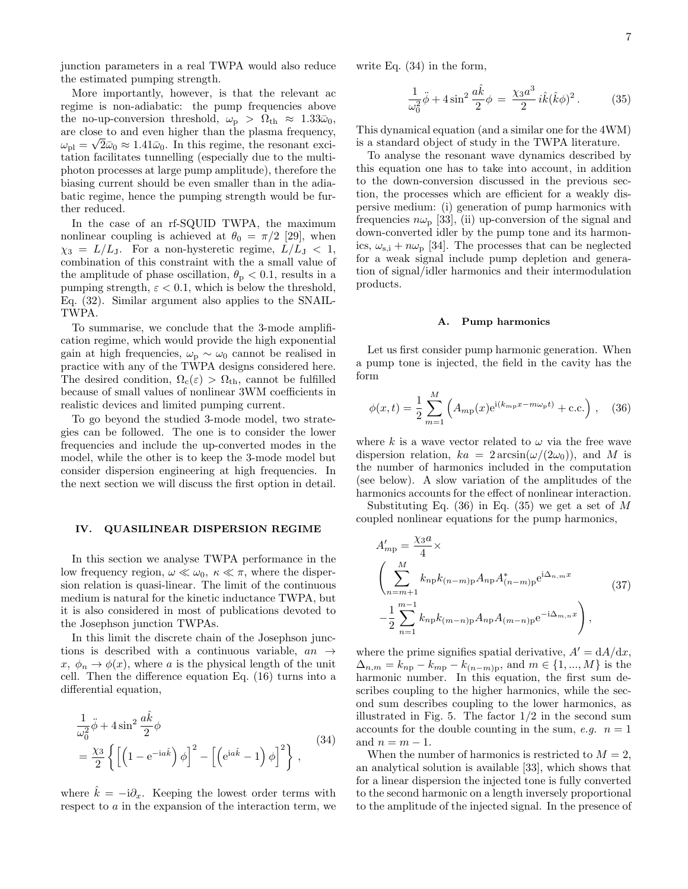junction parameters in a real TWPA would also reduce the estimated pumping strength.

More importantly, however, is that the relevant ac regime is non-adiabatic: the pump frequencies above the no-up-conversion threshold,  $\omega_{\rm p} > \Omega_{\rm th} \approx 1.33\bar{\omega}_0$ , are close to and even higher than the plasma frequency,  $\omega_{\text{pl}} = \sqrt{2\bar{\omega}_0} \approx 1.41\bar{\omega}_0$ . In this regime, the resonant excitation facilitates tunnelling (especially due to the multiphoton processes at large pump amplitude), therefore the biasing current should be even smaller than in the adiabatic regime, hence the pumping strength would be further reduced.

In the case of an rf-SQUID TWPA, the maximum nonlinear coupling is achieved at  $\theta_0 = \pi/2$  [29], when  $\chi_3 = L/L_J$ . For a non-hysteretic regime,  $L/L_J < 1$ , combination of this constraint with the a small value of the amplitude of phase oscillation,  $\theta_{\rm p} < 0.1$ , results in a pumping strength,  $\varepsilon < 0.1$ , which is below the threshold, Eq. (32). Similar argument also applies to the SNAIL-TWPA.

To summarise, we conclude that the 3-mode amplification regime, which would provide the high exponential gain at high frequencies,  $\omega_{\rm p} \sim \omega_0$  cannot be realised in practice with any of the TWPA designs considered here. The desired condition,  $\Omega_c(\varepsilon) > \Omega_{th}$ , cannot be fulfilled because of small values of nonlinear 3WM coefficients in realistic devices and limited pumping current.

To go beyond the studied 3-mode model, two strategies can be followed. The one is to consider the lower frequencies and include the up-converted modes in the model, while the other is to keep the 3-mode model but consider dispersion engineering at high frequencies. In the next section we will discuss the first option in detail.

# IV. QUASILINEAR DISPERSION REGIME

In this section we analyse TWPA performance in the low frequency region,  $\omega \ll \omega_0, \ \kappa \ll \pi$ , where the dispersion relation is quasi-linear. The limit of the continuous medium is natural for the kinetic inductance TWPA, but it is also considered in most of publications devoted to the Josephson junction TWPAs.

In this limit the discrete chain of the Josephson junctions is described with a continuous variable,  $an \rightarrow$  $x, \phi_n \to \phi(x)$ , where a is the physical length of the unit cell. Then the difference equation Eq. (16) turns into a differential equation,

$$
\frac{1}{\omega_0^2} \ddot{\phi} + 4 \sin^2 \frac{a \hat{k}}{2} \phi
$$
\n
$$
= \frac{\chi_3}{2} \left\{ \left[ \left( 1 - e^{-i a \hat{k}} \right) \phi \right]^2 - \left[ \left( e^{i a \hat{k}} - 1 \right) \phi \right]^2 \right\},
$$
\n(34)

where  $\hat{k} = -i\partial_x$ . Keeping the lowest order terms with respect to a in the expansion of the interaction term, we write Eq. (34) in the form,

$$
\frac{1}{\omega_0^2} \ddot{\phi} + 4 \sin^2 \frac{a\hat{k}}{2} \phi = \frac{\chi_3 a^3}{2} i\hat{k} (\hat{k}\phi)^2.
$$
 (35)

This dynamical equation (and a similar one for the 4WM) is a standard object of study in the TWPA literature.

To analyse the resonant wave dynamics described by this equation one has to take into account, in addition to the down-conversion discussed in the previous section, the processes which are efficient for a weakly dispersive medium: (i) generation of pump harmonics with frequencies  $n\omega_p$  [33], (ii) up-conversion of the signal and down-converted idler by the pump tone and its harmonics,  $\omega_{s,i} + n\omega_p$  [34]. The processes that can be neglected for a weak signal include pump depletion and generation of signal/idler harmonics and their intermodulation products.

#### A. Pump harmonics

Let us first consider pump harmonic generation. When a pump tone is injected, the field in the cavity has the form

$$
\phi(x,t) = \frac{1}{2} \sum_{m=1}^{M} \left( A_{mp}(x) e^{i(k_{mp}x - m\omega_p t)} + \text{c.c.} \right), \quad (36)
$$

where k is a wave vector related to  $\omega$  via the free wave dispersion relation,  $ka = 2 \arcsin(\omega/(2\omega_0))$ , and M is the number of harmonics included in the computation (see below). A slow variation of the amplitudes of the harmonics accounts for the effect of nonlinear interaction.

Substituting Eq.  $(36)$  in Eq.  $(35)$  we get a set of M coupled nonlinear equations for the pump harmonics,

$$
A'_{mp} = \frac{\chi_3 a}{4} \times
$$
  
\n
$$
\left(\sum_{n=m+1}^{M} k_{np} k_{(n-m)p} A_{np} A_{(n-m)p}^* e^{i\Delta_{n,m} x}\right)
$$
  
\n
$$
-\frac{1}{2} \sum_{n=1}^{m-1} k_{np} k_{(m-n)p} A_{np} A_{(m-n)p} e^{-i\Delta_{m,n} x}\right),
$$
\n(37)

where the prime signifies spatial derivative,  $A' = dA/dx$ ,  $\Delta_{n,m} = k_{np} - k_{mp} - k_{(n-m)p}$ , and  $m \in \{1, ..., M\}$  is the harmonic number. In this equation, the first sum describes coupling to the higher harmonics, while the second sum describes coupling to the lower harmonics, as illustrated in Fig. 5. The factor  $1/2$  in the second sum accounts for the double counting in the sum, e.g.  $n = 1$ and  $n = m - 1$ .

When the number of harmonics is restricted to  $M = 2$ , an analytical solution is available [33], which shows that for a linear dispersion the injected tone is fully converted to the second harmonic on a length inversely proportional to the amplitude of the injected signal. In the presence of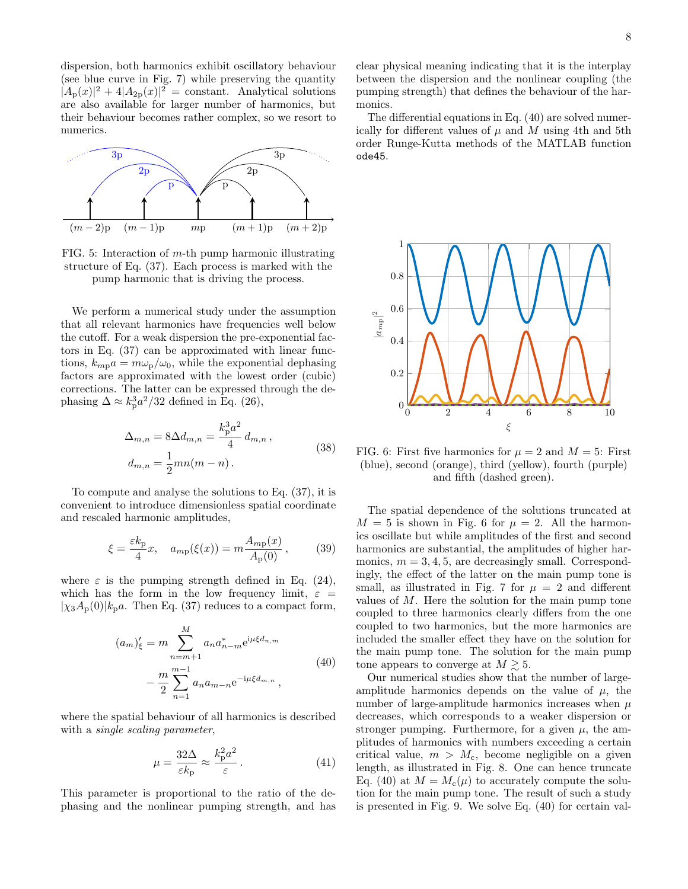dispersion, both harmonics exhibit oscillatory behaviour (see blue curve in Fig. 7) while preserving the quantity  $|A_{\rm p}(x)|^2 + 4|A_{\rm 2p}(x)|^2 = \text{constant}$ . Analytical solutions are also available for larger number of harmonics, but their behaviour becomes rather complex, so we resort to numerics.



FIG. 5: Interaction of m-th pump harmonic illustrating structure of Eq. (37). Each process is marked with the pump harmonic that is driving the process.

We perform a numerical study under the assumption that all relevant harmonics have frequencies well below the cutoff. For a weak dispersion the pre-exponential factors in Eq. (37) can be approximated with linear functions,  $k_{mp}a = m\omega_p/\omega_0$ , while the exponential dephasing factors are approximated with the lowest order (cubic) corrections. The latter can be expressed through the dephasing  $\Delta \approx k_p^3 a^2/32$  defined in Eq. (26),

$$
\Delta_{m,n} = 8\Delta d_{m,n} = \frac{k_{\rm p}^3 a^2}{4} d_{m,n},
$$
  
\n
$$
d_{m,n} = \frac{1}{2}mn(m-n).
$$
\n(38)

To compute and analyse the solutions to Eq. (37), it is convenient to introduce dimensionless spatial coordinate and rescaled harmonic amplitudes,

$$
\xi = \frac{\varepsilon k_{\rm p}}{4}x, \quad a_{m_{\rm p}}(\xi(x)) = m \frac{A_{m_{\rm p}}(x)}{A_{\rm p}(0)},\tag{39}
$$

where  $\varepsilon$  is the pumping strength defined in Eq. (24), which has the form in the low frequency limit,  $\varepsilon =$  $|\chi_3A_p(0)|k_pa.$  Then Eq. (37) reduces to a compact form,

$$
(a_m)'_{\xi} = m \sum_{n=m+1}^{M} a_n a_{n-m}^* e^{i\mu \xi d_{n,m}}
$$

$$
- \frac{m}{2} \sum_{n=1}^{m-1} a_n a_{m-n} e^{-i\mu \xi d_{m,n}},
$$
(40)

where the spatial behaviour of all harmonics is described with a *single scaling parameter*,

$$
\mu = \frac{32\Delta}{\varepsilon k_{\rm p}} \approx \frac{k_{\rm p}^2 a^2}{\varepsilon} \,. \tag{41}
$$

This parameter is proportional to the ratio of the dephasing and the nonlinear pumping strength, and has clear physical meaning indicating that it is the interplay between the dispersion and the nonlinear coupling (the pumping strength) that defines the behaviour of the harmonics.

The differential equations in Eq. (40) are solved numerically for different values of  $\mu$  and  $M$  using 4th and 5th order Runge-Kutta methods of the MATLAB function ode45.



FIG. 6: First five harmonics for  $\mu = 2$  and  $M = 5$ : First (blue), second (orange), third (yellow), fourth (purple) and fifth (dashed green).

The spatial dependence of the solutions truncated at  $M = 5$  is shown in Fig. 6 for  $\mu = 2$ . All the harmonics oscillate but while amplitudes of the first and second harmonics are substantial, the amplitudes of higher harmonics,  $m = 3, 4, 5$ , are decreasingly small. Correspondingly, the effect of the latter on the main pump tone is small, as illustrated in Fig. 7 for  $\mu = 2$  and different values of M. Here the solution for the main pump tone coupled to three harmonics clearly differs from the one coupled to two harmonics, but the more harmonics are included the smaller effect they have on the solution for the main pump tone. The solution for the main pump tone appears to converge at  $M \gtrsim 5$ .

Our numerical studies show that the number of largeamplitude harmonics depends on the value of  $\mu$ , the number of large-amplitude harmonics increases when  $\mu$ decreases, which corresponds to a weaker dispersion or stronger pumping. Furthermore, for a given  $\mu$ , the amplitudes of harmonics with numbers exceeding a certain critical value,  $m > M_c$ , become negligible on a given length, as illustrated in Fig. 8. One can hence truncate Eq. (40) at  $M = M_c(\mu)$  to accurately compute the solution for the main pump tone. The result of such a study is presented in Fig. 9. We solve Eq. (40) for certain val-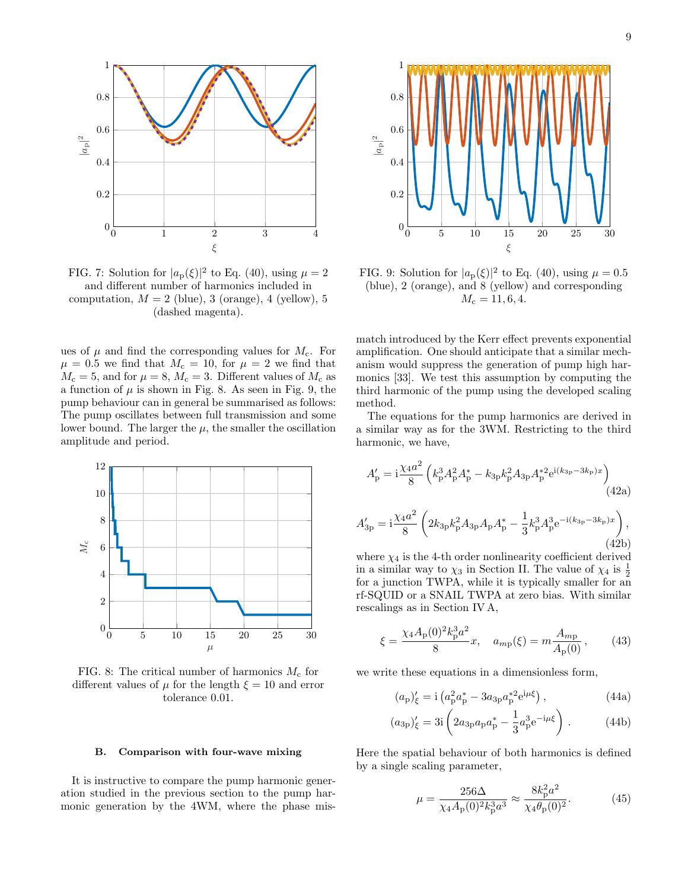

FIG. 7: Solution for  $|a_p(\xi)|^2$  to Eq. (40), using  $\mu = 2$ and different number of harmonics included in computation,  $M = 2$  (blue), 3 (orange), 4 (yellow), 5 (dashed magenta).

ues of  $\mu$  and find the corresponding values for  $M_c$ . For  $\mu = 0.5$  we find that  $M_c = 10$ , for  $\mu = 2$  we find that  $M_c = 5$ , and for  $\mu = 8$ ,  $M_c = 3$ . Different values of  $M_c$  as a function of  $\mu$  is shown in Fig. 8. As seen in Fig. 9, the pump behaviour can in general be summarised as follows: The pump oscillates between full transmission and some lower bound. The larger the  $\mu$ , the smaller the oscillation amplitude and period.



FIG. 8: The critical number of harmonics  $M_c$  for different values of  $\mu$  for the length  $\xi = 10$  and error tolerance 0.01.

#### B. Comparison with four-wave mixing

It is instructive to compare the pump harmonic generation studied in the previous section to the pump harmonic generation by the 4WM, where the phase mis-



FIG. 9: Solution for  $|a_p(\xi)|^2$  to Eq. (40), using  $\mu = 0.5$ (blue), 2 (orange), and 8 (yellow) and corresponding  $M_c = 11, 6, 4.$ 

match introduced by the Kerr effect prevents exponential amplification. One should anticipate that a similar mechanism would suppress the generation of pump high harmonics [33]. We test this assumption by computing the third harmonic of the pump using the developed scaling method.

The equations for the pump harmonics are derived in a similar way as for the 3WM. Restricting to the third harmonic, we have,

$$
A'_{\rm p} = i\frac{\chi_4 a^2}{8} \left( k_{\rm p}^3 A_{\rm p}^2 A_{\rm p}^* - k_{3{\rm p}} k_{\rm p}^2 A_{3{\rm p}} A_{\rm p}^{*2} e^{i(k_{3{\rm p}} - 3k_{\rm p})x} \right)
$$
(42a)

$$
A'_{3p} = i\frac{\chi_4 a^2}{8} \left( 2k_{3p} k_p^2 A_{3p} A_p A_p^* - \frac{1}{3} k_p^3 A_p^3 e^{-i(k_{3p} - 3k_p)x} \right),\tag{42b}
$$

where  $\chi_4$  is the 4-th order nonlinearity coefficient derived in a similar way to  $\chi_3$  in Section II. The value of  $\chi_4$  is  $\frac{1}{2}$ for a junction TWPA, while it is typically smaller for an rf-SQUID or a SNAIL TWPA at zero bias. With similar rescalings as in Section IV A,

$$
\xi = \frac{\chi_4 A_\mathbf{p}(0)^2 k_\mathbf{p}^3 a^2}{8} x, \quad a_{m\mathbf{p}}(\xi) = m \frac{A_{m\mathbf{p}}}{A_\mathbf{p}(0)},\tag{43}
$$

we write these equations in a dimensionless form,

$$
(a_{\rm p})'_{\xi} = i \left( a_{\rm p}^2 a_{\rm p}^* - 3a_{3\rm p} a_{\rm p}^{*2} e^{i\mu \xi} \right), \tag{44a}
$$

$$
(a_{3p})'_{\xi} = 3i \left( 2a_{3p}a_p a_p^* - \frac{1}{3} a_p^3 e^{-i\mu\xi} \right) . \tag{44b}
$$

Here the spatial behaviour of both harmonics is defined by a single scaling parameter,

$$
\mu = \frac{256\Delta}{\chi_4 A_p(0)^2 k_p^3 a^3} \approx \frac{8k_p^2 a^2}{\chi_4 \theta_p(0)^2}.
$$
 (45)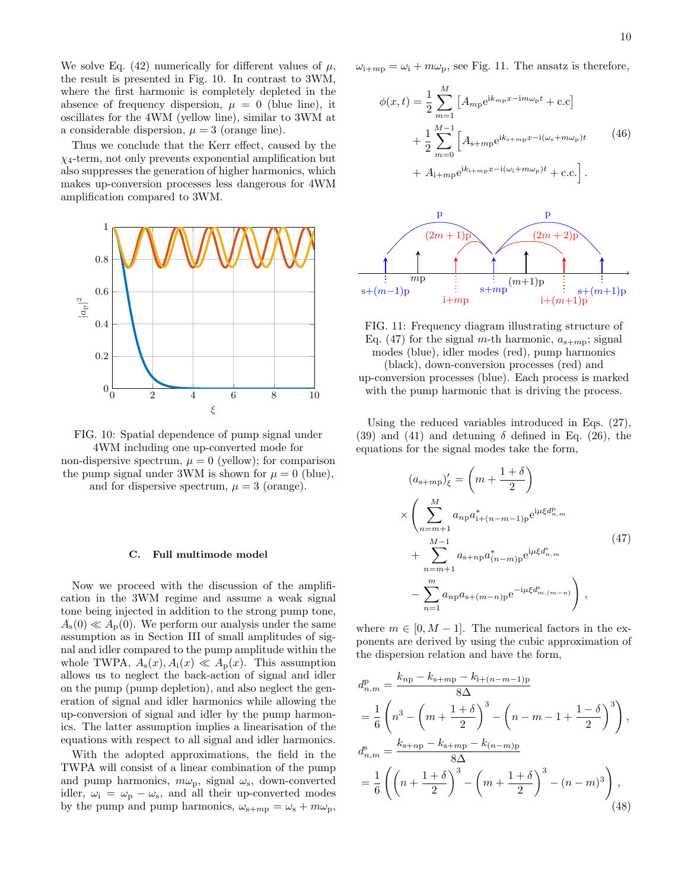We solve Eq. (42) numerically for different values of  $\mu$ , the result is presented in Fig. 10. In contrast to 3WM, where the first harmonic is completely depleted in the absence of frequency dispersion,  $\mu = 0$  (blue line), it oscillates for the 4WM (yellow line), similar to 3WM at a considerable dispersion,  $\mu = 3$  (orange line).

Thus we conclude that the Kerr effect, caused by the  $\chi_4$ -term, not only prevents exponential amplification but also suppresses the generation of higher harmonics, which makes up-conversion processes less dangerous for 4WM amplification compared to 3WM.



FIG. 10: Spatial dependence of pump signal under 4WM including one up-converted mode for non-dispersive spectrum,  $\mu = 0$  (yellow); for comparison the pump signal under 3WM is shown for  $\mu = 0$  (blue),

and for dispersive spectrum,  $\mu = 3$  (orange).

## C. Full multimode model

Now we proceed with the discussion of the amplification in the 3WM regime and assume a weak signal tone being injected in addition to the strong pump tone,  $A_{s}(0) \ll A_{p}(0)$ . We perform our analysis under the same assumption as in Section III of small amplitudes of signal and idler compared to the pump amplitude within the whole TWPA,  $A_s(x)$ ,  $A_i(x) \ll A_p(x)$ . This assumption allows us to neglect the back-action of signal and idler on the pump (pump depletion), and also neglect the generation of signal and idler harmonics while allowing the up-conversion of signal and idler by the pump harmonics. The latter assumption implies a linearisation of the equations with respect to all signal and idler harmonics.

With the adopted approximations, the field in the TWPA will consist of a linear combination of the pump and pump harmonics,  $m\omega_{\rm p}$ , signal  $\omega_{\rm s}$ , down-converted idler,  $\omega_i = \omega_p - \omega_s$ , and all their up-converted modes by the pump and pump harmonics,  $\omega_{s+mp} = \omega_s + m\omega_p$ ,  $\omega_{i+mp} = \omega_i + m\omega_p$ , see Fig. 11. The ansatz is therefore,

$$
\phi(x,t) = \frac{1}{2} \sum_{m=1}^{M} \left[ A_{mp} e^{ik_{mp}x - im\omega_{p}t} + c.c \right]
$$

$$
+ \frac{1}{2} \sum_{m=0}^{M-1} \left[ A_{s+mp} e^{ik_{s+mp}x - i(\omega_{s} + m\omega_{p})t} + A_{i+mp} e^{ik_{i+mp}x - i(\omega_{i} + m\omega_{p})t} + c.c. \right].
$$

$$
(46)
$$



FIG. 11: Frequency diagram illustrating structure of Eq. (47) for the signal m-th harmonic,  $a_{s+mp}$ ; signal modes (blue), idler modes (red), pump harmonics (black), down-conversion processes (red) and up-conversion processes (blue). Each process is marked with the pump harmonic that is driving the process.

Using the reduced variables introduced in Eqs. (27), (39) and (41) and detuning  $\delta$  defined in Eq. (26), the equations for the signal modes take the form,

$$
(a_{s+mp})'_{\xi} = \left(m + \frac{1+\delta}{2}\right)
$$
  
\n
$$
\times \left(\sum_{n=m+1}^{M} a_{np} a_{1+(n-m-1)p}^{*} e^{i\mu \xi d_{n,m}^p} + \sum_{n=m+1}^{M-1} a_{s+np} a_{(n-m)p}^{*} e^{i\mu \xi d_{n,m}^s} \right)
$$
\n
$$
- \sum_{n=1}^{m} a_{np} a_{s+(m-n)p} e^{-i\mu \xi d_{m,(m-n)}^s} \right),
$$
\n
$$
(47)
$$

where  $m \in [0, M - 1]$ . The numerical factors in the exponents are derived by using the cubic approximation of the dispersion relation and have the form,

$$
d_{n,m}^{\rm p} = \frac{k_{np} - k_{\rm s+mp} - k_{\rm i+(n-m-1)p}}{8\Delta}
$$
  
=  $\frac{1}{6} \left( n^3 - \left( m + \frac{1+\delta}{2} \right)^3 - \left( n - m - 1 + \frac{1-\delta}{2} \right)^3 \right),$   

$$
d_{n,m}^{\rm s} = \frac{k_{\rm s+np} - k_{\rm s+mp} - k_{(n-m)p}}{8\Delta}
$$
  
=  $\frac{1}{6} \left( \left( n + \frac{1+\delta}{2} \right)^3 - \left( m + \frac{1+\delta}{2} \right)^3 - (n-m)^3 \right),$  (48)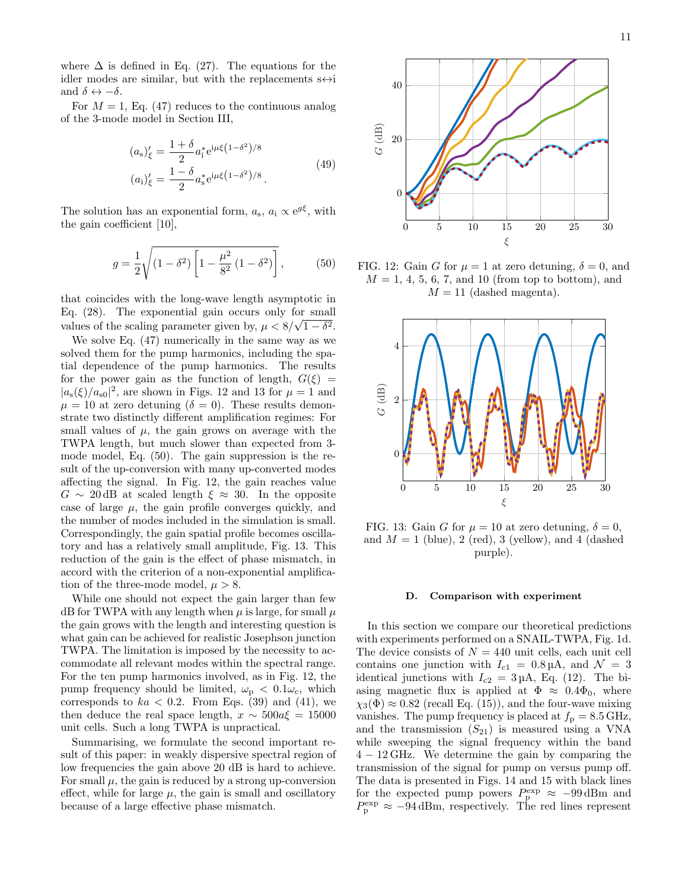where  $\Delta$  is defined in Eq. (27). The equations for the idler modes are similar, but with the replacements  $s \leftrightarrow i$ and  $\delta \leftrightarrow -\delta$ .

For  $M = 1$ , Eq. (47) reduces to the continuous analog of the 3-mode model in Section III,

$$
(a_s)'_{\xi} = \frac{1+\delta}{2} a_i^* e^{i\mu\xi (1-\delta^2)/8}
$$
  

$$
(a_i)'_{\xi} = \frac{1-\delta}{2} a_s^* e^{i\mu\xi (1-\delta^2)/8}.
$$
 (49)

The solution has an exponential form,  $a_s$ ,  $a_i \propto e^{g\xi}$ , with the gain coefficient [10],

$$
g = \frac{1}{2} \sqrt{(1 - \delta^2) \left[1 - \frac{\mu^2}{8^2} (1 - \delta^2)\right]},
$$
 (50)

that coincides with the long-wave length asymptotic in Eq.  $(28)$ . The exponential gain occurs only for small values of the scaling parameter given by,  $\mu < 8/\sqrt{1-\delta^2}$ .

We solve Eq. (47) numerically in the same way as we solved them for the pump harmonics, including the spatial dependence of the pump harmonics. The results for the power gain as the function of length,  $G(\xi)$  =  $|a_{s}(\xi)/a_{s0}|^{2}$ , are shown in Figs. 12 and 13 for  $\mu = 1$  and  $\mu = 10$  at zero detuning  $(\delta = 0)$ . These results demonstrate two distinctly different amplification regimes: For small values of  $\mu$ , the gain grows on average with the TWPA length, but much slower than expected from 3 mode model, Eq. (50). The gain suppression is the result of the up-conversion with many up-converted modes affecting the signal. In Fig. 12, the gain reaches value  $G \sim 20$  dB at scaled length  $\xi \approx 30$ . In the opposite case of large  $\mu$ , the gain profile converges quickly, and the number of modes included in the simulation is small. Correspondingly, the gain spatial profile becomes oscillatory and has a relatively small amplitude, Fig. 13. This reduction of the gain is the effect of phase mismatch, in accord with the criterion of a non-exponential amplification of the three-mode model,  $\mu > 8$ .

While one should not expect the gain larger than few dB for TWPA with any length when  $\mu$  is large, for small  $\mu$ the gain grows with the length and interesting question is what gain can be achieved for realistic Josephson junction TWPA. The limitation is imposed by the necessity to accommodate all relevant modes within the spectral range. For the ten pump harmonics involved, as in Fig. 12, the pump frequency should be limited,  $\omega_{\rm p} < 0.1 \omega_{\rm c}$ , which corresponds to  $ka < 0.2$ . From Eqs. (39) and (41), we then deduce the real space length,  $x \sim 500a\xi = 15000$ unit cells. Such a long TWPA is unpractical.

Summarising, we formulate the second important result of this paper: in weakly dispersive spectral region of low frequencies the gain above 20 dB is hard to achieve. For small  $\mu$ , the gain is reduced by a strong up-conversion effect, while for large  $\mu$ , the gain is small and oscillatory because of a large effective phase mismatch.



FIG. 12: Gain G for  $\mu = 1$  at zero detuning,  $\delta = 0$ , and  $M = 1, 4, 5, 6, 7, \text{ and } 10 \text{ (from top to bottom)}, \text{ and}$  $M = 11$  (dashed magenta).



FIG. 13: Gain G for  $\mu = 10$  at zero detuning,  $\delta = 0$ , and  $M = 1$  (blue), 2 (red), 3 (yellow), and 4 (dashed purple).

#### D. Comparison with experiment

In this section we compare our theoretical predictions with experiments performed on a SNAIL-TWPA, Fig. 1d. The device consists of  $N = 440$  unit cells, each unit cell contains one junction with  $I_{c1} = 0.8 \,\mu\text{A}$ , and  $\mathcal{N} = 3$ identical junctions with  $I_{c2} = 3 \mu A$ , Eq. (12). The biasing magnetic flux is applied at  $\Phi \approx 0.4\Phi_0$ , where  $\chi_3(\Phi) \approx 0.82$  (recall Eq. (15)), and the four-wave mixing vanishes. The pump frequency is placed at  $f<sub>p</sub> = 8.5$  GHz, and the transmission  $(S_{21})$  is measured using a VNA while sweeping the signal frequency within the band 4 − 12 GHz. We determine the gain by comparing the transmission of the signal for pump on versus pump off. The data is presented in Figs. 14 and 15 with black lines for the expected pump powers  $P_{\rm p}^{\rm exp} \approx -99$  dBm and  $P_{\rm p}^{\rm exp} \approx -94 \,\rm{dBm}$ , respectively. The red lines represent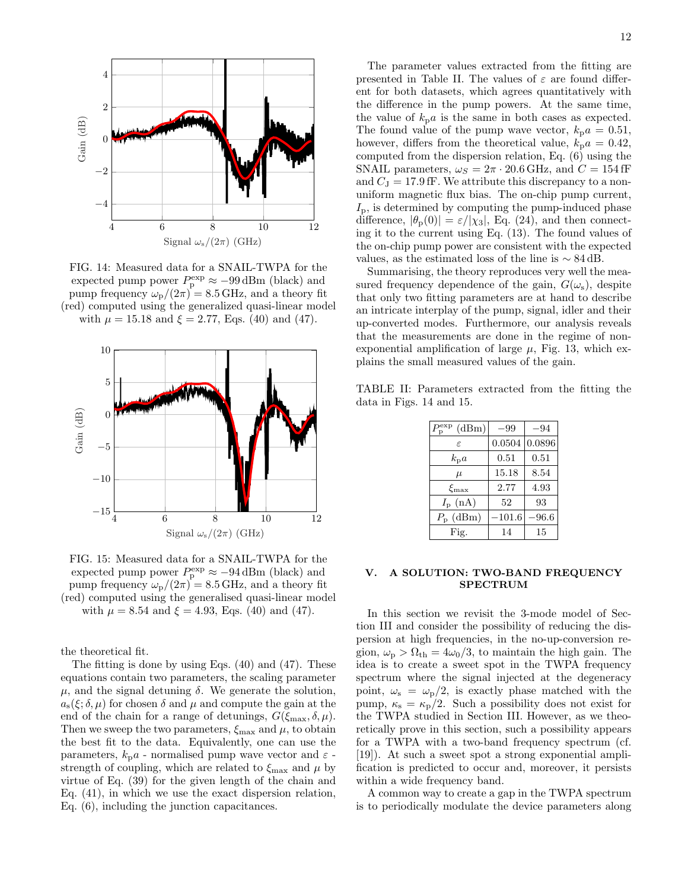

FIG. 14: Measured data for a SNAIL-TWPA for the expected pump power  $P_p^{\text{exp}} \approx -99 \,\text{dBm}$  (black) and pump frequency  $\omega_{\rm p}/(2\pi) = 8.5$  GHz, and a theory fit (red) computed using the generalized quasi-linear model with  $\mu = 15.18$  and  $\xi = 2.77$ , Eqs. (40) and (47).



FIG. 15: Measured data for a SNAIL-TWPA for the expected pump power  $P_p^{\text{exp}} \approx -94 \,\text{dBm}$  (black) and pump frequency  $\omega_{\rm p}/(2\pi) = 8.5$  GHz, and a theory fit (red) computed using the generalised quasi-linear model with  $\mu = 8.54$  and  $\xi = 4.93$ , Eqs. (40) and (47).

the theoretical fit.

The fitting is done by using Eqs. (40) and (47). These equations contain two parameters, the scaling parameter  $\mu$ , and the signal detuning  $\delta$ . We generate the solution,  $a_{s}(\xi;\delta,\mu)$  for chosen  $\delta$  and  $\mu$  and compute the gain at the end of the chain for a range of detunings,  $G(\xi_{\text{max}}, \delta, \mu)$ . Then we sweep the two parameters,  $\xi_{\text{max}}$  and  $\mu$ , to obtain the best fit to the data. Equivalently, one can use the parameters,  $k_{\text{p}}a$  - normalised pump wave vector and  $\varepsilon$  strength of coupling, which are related to  $\xi_{\text{max}}$  and  $\mu$  by virtue of Eq. (39) for the given length of the chain and Eq. (41), in which we use the exact dispersion relation, Eq. (6), including the junction capacitances.

The parameter values extracted from the fitting are presented in Table II. The values of  $\varepsilon$  are found different for both datasets, which agrees quantitatively with the difference in the pump powers. At the same time, the value of  $k_{p}a$  is the same in both cases as expected. The found value of the pump wave vector,  $k_{\text{p}}a = 0.51$ , however, differs from the theoretical value,  $k_{\text{p}}a = 0.42$ , computed from the dispersion relation, Eq. (6) using the SNAIL parameters,  $\omega_S = 2\pi \cdot 20.6 \text{ GHz}$ , and  $C = 154 \text{ fF}$ and  $C_J = 17.9$  fF. We attribute this discrepancy to a nonuniform magnetic flux bias. The on-chip pump current,  $I_{\rm p}$ , is determined by computing the pump-induced phase difference,  $|\theta_{\rm p}(0)| = \varepsilon/|\chi_3|$ , Eq. (24), and then connecting it to the current using Eq. (13). The found values of the on-chip pump power are consistent with the expected values, as the estimated loss of the line is  $\sim 84 \text{ dB}$ .

Summarising, the theory reproduces very well the measured frequency dependence of the gain,  $G(\omega_s)$ , despite that only two fitting parameters are at hand to describe an intricate interplay of the pump, signal, idler and their up-converted modes. Furthermore, our analysis reveals that the measurements are done in the regime of nonexponential amplification of large  $\mu$ , Fig. 13, which explains the small measured values of the gain.

TABLE II: Parameters extracted from the fitting the data in Figs. 14 and 15.

| (dBm)<br>$P^{\rm exp}_{\rm p}$ | $-99$    | $-94$  |
|--------------------------------|----------|--------|
| $\epsilon$                     | 0.0504   | 0.0896 |
| $k_{p}a$                       | 0.51     | 0.51   |
| $\mu$                          | 15.18    | 8.54   |
| $\xi_{\rm max}$                | 2.77     | 4.93   |
| $I_{\rm p}~({\rm nA})$         | 52       | 93     |
| $P_{\rm p}$ (dBm)              | $-101.6$ | 96.6   |
| Fig.                           | 14       | 15     |

# V. A SOLUTION: TWO-BAND FREQUENCY SPECTRUM

In this section we revisit the 3-mode model of Section III and consider the possibility of reducing the dispersion at high frequencies, in the no-up-conversion region,  $\omega_{\rm p} > \Omega_{\rm th} = 4\omega_0/3$ , to maintain the high gain. The idea is to create a sweet spot in the TWPA frequency spectrum where the signal injected at the degeneracy point,  $\omega_s = \omega_p/2$ , is exactly phase matched with the pump,  $\kappa_s = \kappa_p/2$ . Such a possibility does not exist for the TWPA studied in Section III. However, as we theoretically prove in this section, such a possibility appears for a TWPA with a two-band frequency spectrum (cf. [19]). At such a sweet spot a strong exponential amplification is predicted to occur and, moreover, it persists within a wide frequency band.

A common way to create a gap in the TWPA spectrum is to periodically modulate the device parameters along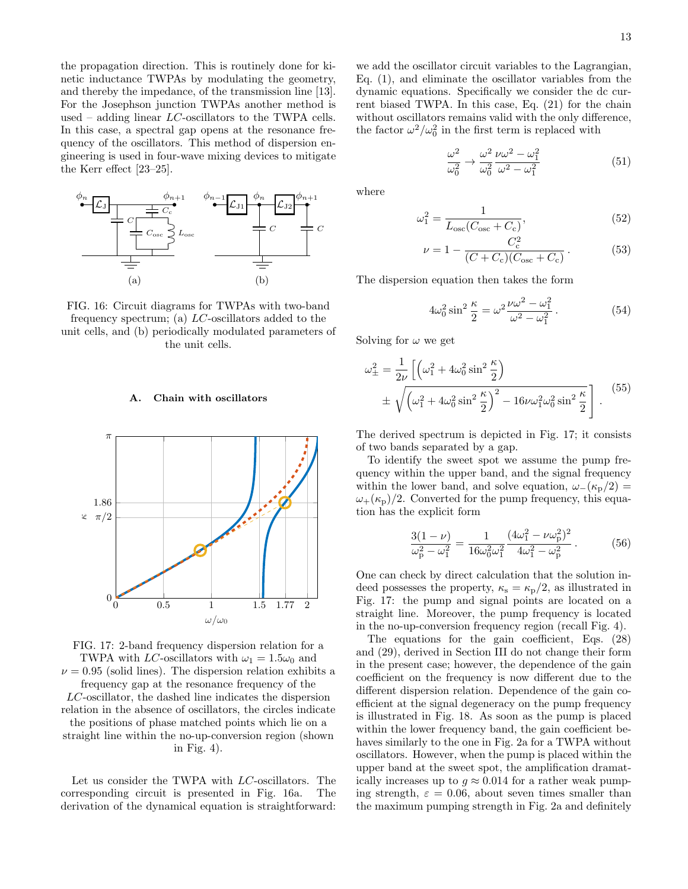the propagation direction. This is routinely done for kinetic inductance TWPAs by modulating the geometry, and thereby the impedance, of the transmission line [13]. For the Josephson junction TWPAs another method is used – adding linear  $LC$ -oscillators to the TWPA cells. In this case, a spectral gap opens at the resonance frequency of the oscillators. This method of dispersion engineering is used in four-wave mixing devices to mitigate the Kerr effect [23–25].



FIG. 16: Circuit diagrams for TWPAs with two-band frequency spectrum; (a)  $LC$ -oscillators added to the unit cells, and (b) periodically modulated parameters of the unit cells.

#### A. Chain with oscillators



FIG. 17: 2-band frequency dispersion relation for a TWPA with LC-oscillators with  $\omega_1 = 1.5\omega_0$  and  $\nu = 0.95$  (solid lines). The dispersion relation exhibits a frequency gap at the resonance frequency of the LC-oscillator, the dashed line indicates the dispersion relation in the absence of oscillators, the circles indicate the positions of phase matched points which lie on a straight line within the no-up-conversion region (shown

in Fig. 4).

Let us consider the TWPA with LC-oscillators. The corresponding circuit is presented in Fig. 16a. The derivation of the dynamical equation is straightforward:

we add the oscillator circuit variables to the Lagrangian, Eq. (1), and eliminate the oscillator variables from the dynamic equations. Specifically we consider the dc current biased TWPA. In this case, Eq. (21) for the chain without oscillators remains valid with the only difference, the factor  $\omega^2/\omega_0^2$  in the first term is replaced with

$$
\frac{\omega^2}{\omega_0^2} \to \frac{\omega^2}{\omega_0^2} \frac{\nu \omega^2 - \omega_1^2}{\omega^2 - \omega_1^2} \tag{51}
$$

where

$$
\omega_1^2 = \frac{1}{L_{\text{osc}}(C_{\text{osc}} + C_{\text{c}})},\tag{52}
$$

$$
\nu = 1 - \frac{C_{\rm c}^2}{(C + C_{\rm c})(C_{\rm osc} + C_{\rm c})}.
$$
 (53)

The dispersion equation then takes the form

$$
4\omega_0^2 \sin^2 \frac{\kappa}{2} = \omega^2 \frac{\nu \omega^2 - \omega_1^2}{\omega^2 - \omega_1^2}.
$$
 (54)

Solving for  $\omega$  we get

$$
\omega_{\pm}^2 = \frac{1}{2\nu} \left[ \left( \omega_1^2 + 4\omega_0^2 \sin^2 \frac{\kappa}{2} \right) \right.
$$
  

$$
\pm \sqrt{\left( \omega_1^2 + 4\omega_0^2 \sin^2 \frac{\kappa}{2} \right)^2 - 16\nu \omega_1^2 \omega_0^2 \sin^2 \frac{\kappa}{2}} \right].
$$
 (55)

The derived spectrum is depicted in Fig. 17; it consists of two bands separated by a gap.

To identify the sweet spot we assume the pump frequency within the upper band, and the signal frequency within the lower band, and solve equation,  $\omega_-(\kappa_p/2)$  =  $\omega_{+}(\kappa_{\rm p})/2$ . Converted for the pump frequency, this equation has the explicit form

$$
\frac{3(1-\nu)}{\omega_p^2 - \omega_1^2} = \frac{1}{16\omega_0^2\omega_1^2} \frac{(4\omega_1^2 - \nu\omega_p^2)^2}{4\omega_1^2 - \omega_p^2}.
$$
 (56)

One can check by direct calculation that the solution indeed possesses the property,  $\kappa_s = \kappa_p/2$ , as illustrated in Fig. 17: the pump and signal points are located on a straight line. Moreover, the pump frequency is located in the no-up-conversion frequency region (recall Fig. 4).

The equations for the gain coefficient, Eqs. (28) and (29), derived in Section III do not change their form in the present case; however, the dependence of the gain coefficient on the frequency is now different due to the different dispersion relation. Dependence of the gain coefficient at the signal degeneracy on the pump frequency is illustrated in Fig. 18. As soon as the pump is placed within the lower frequency band, the gain coefficient behaves similarly to the one in Fig. 2a for a TWPA without oscillators. However, when the pump is placed within the upper band at the sweet spot, the amplification dramatically increases up to  $g \approx 0.014$  for a rather weak pumping strength,  $\varepsilon = 0.06$ , about seven times smaller than the maximum pumping strength in Fig. 2a and definitely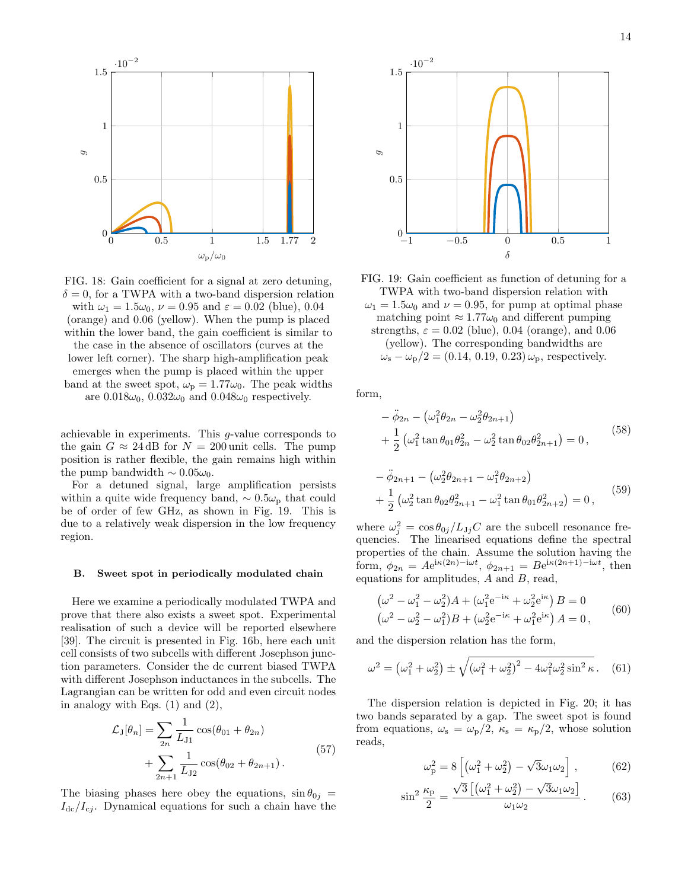

FIG. 18: Gain coefficient for a signal at zero detuning,  $\delta = 0$ , for a TWPA with a two-band dispersion relation with  $\omega_1 = 1.5\omega_0$ ,  $\nu = 0.95$  and  $\varepsilon = 0.02$  (blue), 0.04 (orange) and 0.06 (yellow). When the pump is placed within the lower band, the gain coefficient is similar to the case in the absence of oscillators (curves at the lower left corner). The sharp high-amplification peak emerges when the pump is placed within the upper band at the sweet spot,  $\omega_{\rm p} = 1.77 \omega_0$ . The peak widths are  $0.018\omega_0$ ,  $0.032\omega_0$  and  $0.048\omega_0$  respectively.

achievable in experiments. This g-value corresponds to the gain  $G \approx 24$  dB for  $N = 200$  unit cells. The pump position is rather flexible, the gain remains high within the pump bandwidth  $\sim 0.05\omega_0$ .

For a detuned signal, large amplification persists within a quite wide frequency band,  $\sim 0.5\omega_{\rm p}$  that could be of order of few GHz, as shown in Fig. 19. This is due to a relatively weak dispersion in the low frequency region.

#### B. Sweet spot in periodically modulated chain

Here we examine a periodically modulated TWPA and prove that there also exists a sweet spot. Experimental realisation of such a device will be reported elsewhere [39]. The circuit is presented in Fig. 16b, here each unit cell consists of two subcells with different Josephson junction parameters. Consider the dc current biased TWPA with different Josephson inductances in the subcells. The Lagrangian can be written for odd and even circuit nodes in analogy with Eqs.  $(1)$  and  $(2)$ ,

$$
\mathcal{L}_{\mathrm{J}}[\theta_{n}] = \sum_{2n} \frac{1}{L_{\mathrm{J1}}} \cos(\theta_{01} + \theta_{2n}) + \sum_{2n+1} \frac{1}{L_{\mathrm{J2}}} \cos(\theta_{02} + \theta_{2n+1}). \tag{57}
$$

The biasing phases here obey the equations,  $\sin \theta_{0j}$  =  $I_{\text{dc}}/I_{\text{c}j}$ . Dynamical equations for such a chain have the



FIG. 19: Gain coefficient as function of detuning for a TWPA with two-band dispersion relation with  $\omega_1 = 1.5\omega_0$  and  $\nu = 0.95$ , for pump at optimal phase matching point  $\approx 1.77\omega_0$  and different pumping strengths,  $\varepsilon = 0.02$  (blue), 0.04 (orange), and 0.06 (yellow). The corresponding bandwidths are  $\omega_{\rm s} - \omega_{\rm p}/2 = (0.14, 0.19, 0.23) \omega_{\rm p}$ , respectively.

form,

$$
- \ddot{\phi}_{2n} - (\omega_1^2 \theta_{2n} - \omega_2^2 \theta_{2n+1})
$$
  
+  $\frac{1}{2} (\omega_1^2 \tan \theta_{01} \theta_{2n}^2 - \omega_2^2 \tan \theta_{02} \theta_{2n+1}^2) = 0,$  (58)  
-  $\ddot{\phi}_{2n+1} - (\omega_2^2 \theta_{2n+1} - \omega_1^2 \theta_{2n+2})$ 

$$
- \varphi_{2n+1} - (\omega_2 \varphi_{2n+1} - \omega_1 \varphi_{2n+2})
$$
  
+ 
$$
\frac{1}{2} (\omega_2^2 \tan \theta_{02} \theta_{2n+1}^2 - \omega_1^2 \tan \theta_{01} \theta_{2n+2}^2) = 0,
$$
 (59)

where  $\omega_j^2 = \cos \theta_{0j}/L_{Jj}C$  are the subcell resonance frequencies. The linearised equations define the spectral properties of the chain. Assume the solution having the form,  $\phi_{2n} = Ae^{i\kappa(2n) - i\omega t}$ ,  $\phi_{2n+1} = Be^{i\kappa(2n+1) - i\omega t}$ , then equations for amplitudes,  $A$  and  $B$ , read,

$$
\left(\omega^2 - \omega_1^2 - \omega_2^2\right)A + \left(\omega_1^2 e^{-i\kappa} + \omega_2^2 e^{i\kappa}\right)B = 0
$$
  
\n
$$
\left(\omega^2 - \omega_2^2 - \omega_1^2\right)B + \left(\omega_2^2 e^{-i\kappa} + \omega_1^2 e^{i\kappa}\right)A = 0,
$$
\n(60)

and the dispersion relation has the form,

$$
\omega^2 = (\omega_1^2 + \omega_2^2) \pm \sqrt{(\omega_1^2 + \omega_2^2)^2 - 4\omega_1^2 \omega_2^2 \sin^2 \kappa}.
$$
 (61)

The dispersion relation is depicted in Fig. 20; it has two bands separated by a gap. The sweet spot is found from equations,  $\omega_s = \omega_p/2$ ,  $\kappa_s = \kappa_p/2$ , whose solution reads,

$$
\omega_{\rm p}^2 = 8 \left[ \left( \omega_1^2 + \omega_2^2 \right) - \sqrt{3} \omega_1 \omega_2 \right],\tag{62}
$$

$$
\sin^2 \frac{\kappa_p}{2} = \frac{\sqrt{3}\left[ \left(\omega_1^2 + \omega_2^2\right) - \sqrt{3}\omega_1\omega_2 \right]}{\omega_1\omega_2} \,. \tag{63}
$$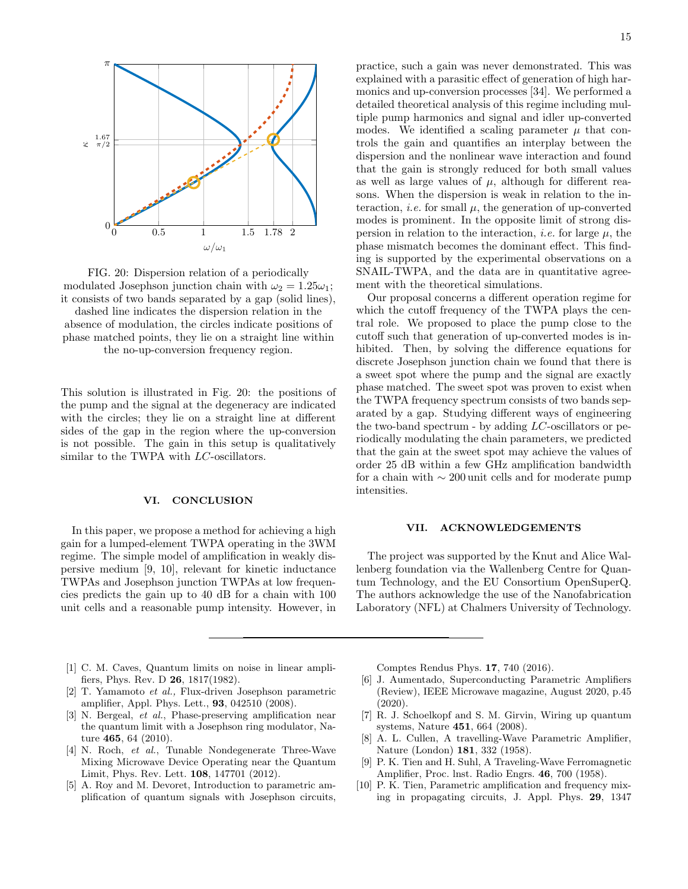

FIG. 20: Dispersion relation of a periodically modulated Josephson junction chain with  $\omega_2 = 1.25\omega_1$ ; it consists of two bands separated by a gap (solid lines),

dashed line indicates the dispersion relation in the absence of modulation, the circles indicate positions of phase matched points, they lie on a straight line within the no-up-conversion frequency region.

This solution is illustrated in Fig. 20: the positions of the pump and the signal at the degeneracy are indicated with the circles; they lie on a straight line at different sides of the gap in the region where the up-conversion is not possible. The gain in this setup is qualitatively similar to the TWPA with *LC*-oscillators.

# VI. CONCLUSION

In this paper, we propose a method for achieving a high gain for a lumped-element TWPA operating in the 3WM regime. The simple model of amplification in weakly dispersive medium [9, 10], relevant for kinetic inductance TWPAs and Josephson junction TWPAs at low frequencies predicts the gain up to 40 dB for a chain with 100 unit cells and a reasonable pump intensity. However, in practice, such a gain was never demonstrated. This was explained with a parasitic effect of generation of high harmonics and up-conversion processes [34]. We performed a detailed theoretical analysis of this regime including multiple pump harmonics and signal and idler up-converted modes. We identified a scaling parameter  $\mu$  that controls the gain and quantifies an interplay between the dispersion and the nonlinear wave interaction and found that the gain is strongly reduced for both small values as well as large values of  $\mu$ , although for different reasons. When the dispersion is weak in relation to the interaction, *i.e.* for small  $\mu$ , the generation of up-converted modes is prominent. In the opposite limit of strong dispersion in relation to the interaction, *i.e.* for large  $\mu$ , the phase mismatch becomes the dominant effect. This finding is supported by the experimental observations on a SNAIL-TWPA, and the data are in quantitative agreement with the theoretical simulations.

Our proposal concerns a different operation regime for which the cutoff frequency of the TWPA plays the central role. We proposed to place the pump close to the cutoff such that generation of up-converted modes is inhibited. Then, by solving the difference equations for discrete Josephson junction chain we found that there is a sweet spot where the pump and the signal are exactly phase matched. The sweet spot was proven to exist when the TWPA frequency spectrum consists of two bands separated by a gap. Studying different ways of engineering the two-band spectrum - by adding  $LC$ -oscillators or periodically modulating the chain parameters, we predicted that the gain at the sweet spot may achieve the values of order 25 dB within a few GHz amplification bandwidth for a chain with ∼ 200 unit cells and for moderate pump intensities.

#### VII. ACKNOWLEDGEMENTS

The project was supported by the Knut and Alice Wallenberg foundation via the Wallenberg Centre for Quantum Technology, and the EU Consortium OpenSuperQ. The authors acknowledge the use of the Nanofabrication Laboratory (NFL) at Chalmers University of Technology.

- [1] C. M. Caves, Quantum limits on noise in linear amplifiers, Phys. Rev. D 26, 1817(1982).
- [2] T. Yamamoto et al., Flux-driven Josephson parametric amplifier, Appl. Phys. Lett., 93, 042510 (2008).
- [3] N. Bergeal, et al., Phase-preserving amplification near the quantum limit with a Josephson ring modulator, Nature 465, 64 (2010).
- [4] N. Roch, et al., Tunable Nondegenerate Three-Wave Mixing Microwave Device Operating near the Quantum Limit, Phys. Rev. Lett. 108, 147701 (2012).
- [5] A. Roy and M. Devoret, Introduction to parametric amplification of quantum signals with Josephson circuits,

Comptes Rendus Phys. 17, 740 (2016).

- [6] J. Aumentado, Superconducting Parametric Amplifiers (Review), IEEE Microwave magazine, August 2020, p.45 (2020).
- [7] R. J. Schoelkopf and S. M. Girvin, Wiring up quantum systems, Nature 451, 664 (2008).
- [8] A. L. Cullen, A travelling-Wave Parametric Amplifier, Nature (London) 181, 332 (1958).
- [9] P. K. Tien and H. Suhl, A Traveling-Wave Ferromagnetic Amplifier, Proc. lnst. Radio Engrs. 46, 700 (1958).
- [10] P. K. Tien, Parametric amplification and frequency mixing in propagating circuits, J. Appl. Phys. 29, 1347